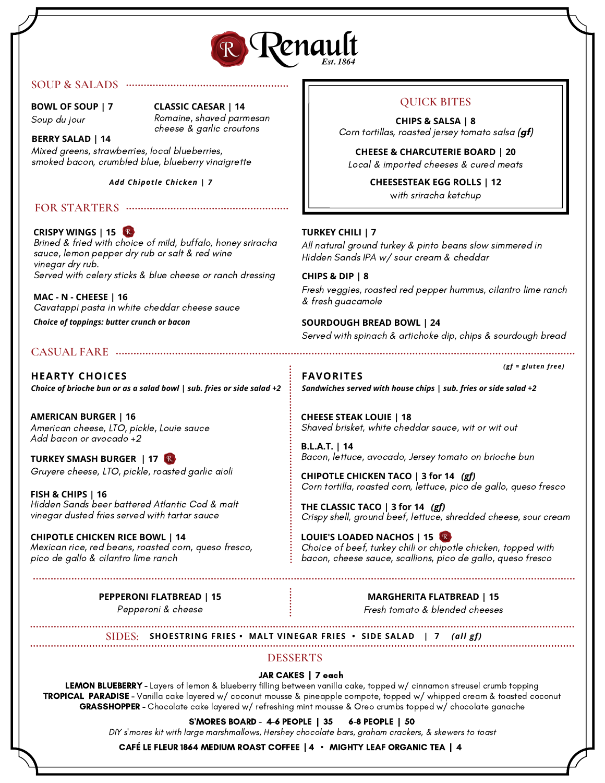

## **SOUP & SALADS**

**BOWL OF SOUP | 7** Soup du jour

## **CLASSIC CAESAR | 14**

Romaine, shaved parmesan cheese & garlic croutons

## **BERRY SALAD | 14**

Mixed greens, strawberries, local blueberries, smoked bacon, crumbled blue, blueberry vinaigrette

*Add Chipotle Chicken | 7*

## **FOR STARTERS**

## **CRISPY WINGS | 15**

Brined & fried with choice of mild, buffalo, honey sriracha sauce, lemon pepper dry rub or salt & red wine vinegar dry rub. Served with celery sticks & blue cheese or ranch dressing

**MAC - N - CHEESE | 16** Cavatappi pasta in white cheddar cheese sauce

*Choice of toppings: butter crunch or bacon*

## **CASUAL FARE**

**HEARTY CHOICES** *Choice of brioche bun or as a salad bowl | sub. fries or side salad +2*

**AMERICAN BURGER | 16** American cheese, LTO, pickle, Louie sauce Add bacon or avocado +2

**TURKEY SMASH BURGER | 17** Gruyere cheese, LTO, pickle, roasted garlic aioli

**FISH & CHIPS | 16** Hidden Sands beer battered Atlantic Cod & malt vinegar dusted fries served with tartar sauce

**CHIPOTLE CHICKEN RICE BOWL | 14** Mexican rice, red beans, roasted corn, queso fresco, pico de gallo & cilantro lime ranch

> **PEPPERONI FLATBREAD | 15** Pepperoni & cheese

## **QUICK BITES**

**CHIPS & SALSA | 8** Corn tortillas, roasted jersey tomato salsa **(gf)**

**CHEESE & CHARCUTERIE BOARD | 20** Local & imported cheeses & cured meats

> **CHEESESTEAK EGG ROLLS | 12** with sriracha ketchup

## **TURKEY CHILI | 7**

All natural ground turkey & pinto beans slow simmered in Hidden Sands IPA w/ sour cream & cheddar

**CHIPS & DIP | 8** Fresh veggies, roasted red pepper hummus, cilantro lime ranch & fresh guacamole

**SOURDOUGH BREAD BOWL | 24**

Served with spinach & artichoke dip, chips & sourdough bread

*(gf = gluten free)*

**FAVORITES** *Sandwiches served with house chips | sub. fries or side salad +2*

**CHEESE STEAK LOUIE | 18** Shaved brisket, white cheddar sauce, wit or wit out

**B.L.A.T. | 14** Bacon, lettuce, avocado, Jersey tomato on brioche bun

**CHIPOTLE CHICKEN TACO | 3 for 14** *(gf)* Corn tortilla, roasted corn, lettuce, pico de gallo, queso fresco

**THE CLASSIC TACO | 3 for 14** *(gf)* Crispy shell, ground beef, lettuce, shredded cheese, sour cream

**LOUIE'S LOADED NACHOS | 15** Choice of beef, turkey chili or chipotle chicken, topped with bacon, cheese sauce, scallions, pico de gallo, queso fresco

## **MARGHERITA FLATBREAD | 15**

Fresh tomato & blended cheeses

**SHOESTRING FRIES • MALT VINEGAR FRIES • SIDE SALAD | 7** *(all gf)* **SIDES:**

## **DESSERTS**

## JAR CAKES | 7 each

LEMON BLUEBERRY - Layers of lemon & blueberry filling between vanilla cake, topped w/ cinnamon streusel crumb topping TROPICAL PARADISE - Vanilla cake layered w/ coconut mousse & pineapple compote, topped w/ whipped cream & toasted coconut GRASSHOPPER - Chocolate cake layered w/ refreshing mint mousse & Oreo crumbs topped w/ chocolate ganache

## S'MORES BOARD - 4-6 PEOPLE | 35 6-8 PEOPLE | 50

DIY s'mores kit with large marshmallows, Hershey chocolate bars, graham crackers, & skewers to toast

CAFÉ LE FLEUR 1864 MEDIUM ROAST COFFEE | 4 • MIGHTY LEAF ORGANIC TEA | 4